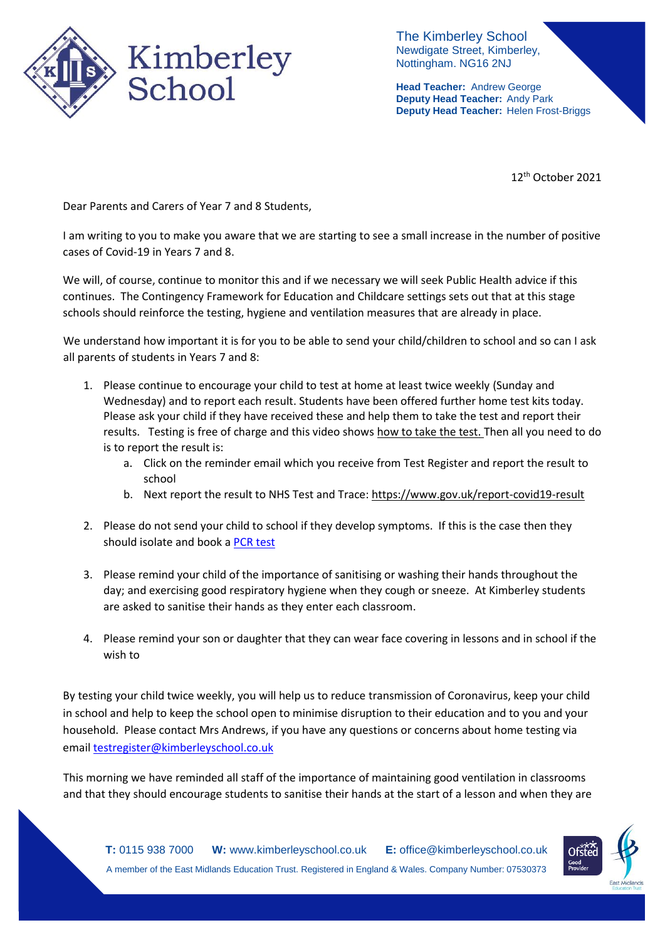

The Kimberley School Newdigate Street, Kimberley, Nottingham. NG16 2NJ

**Head Teacher:** Andrew George **Deputy Head Teacher:** Andy Park **Deputy Head Teacher:** Helen Frost-Briggs

12<sup>th</sup> October 2021

Dear Parents and Carers of Year 7 and 8 Students,

I am writing to you to make you aware that we are starting to see a small increase in the number of positive cases of Covid-19 in Years 7 and 8.

We will, of course, continue to monitor this and if we necessary we will seek Public Health advice if this continues. The Contingency Framework for Education and Childcare settings sets out that at this stage schools should reinforce the testing, hygiene and ventilation measures that are already in place.

We understand how important it is for you to be able to send your child/children to school and so can I ask all parents of students in Years 7 and 8:

- 1. Please continue to encourage your child to test at home at least twice weekly (Sunday and Wednesday) and to report each result. Students have been offered further home test kits today. Please ask your child if they have received these and help them to take the test and report their results. Testing is free of charge and this video show[s how to take the test.](https://www.gov.uk/guidance/covid-19-self-test-help) Then all you need to do is to report the result is:
	- a. Click on the reminder email which you receive from Test Register and report the result to school
	- b. Next report the result to NHS Test and Trace[: https://www.gov.uk/report-covid19-result](https://www.gov.uk/report-covid19-result)
- 2. Please do not send your child to school if they develop symptoms. If this is the case then they should isolate and book a [PCR test](https://www.gov.uk/get-coronavirus-test)
- 3. Please remind your child of the importance of sanitising or washing their hands throughout the day; and exercising good respiratory hygiene when they cough or sneeze. At Kimberley students are asked to sanitise their hands as they enter each classroom.
- 4. Please remind your son or daughter that they can wear face covering in lessons and in school if the wish to

By testing your child twice weekly, you will help us to reduce transmission of Coronavirus, keep your child in school and help to keep the school open to minimise disruption to their education and to you and your household. Please contact Mrs Andrews, if you have any questions or concerns about home testing via emai[l testregister@kimberleyschool.co.uk](mailto:testregister@kimberleyschool.co.uk) 

This morning we have reminded all staff of the importance of maintaining good ventilation in classrooms and that they should encourage students to sanitise their hands at the start of a lesson and when they are